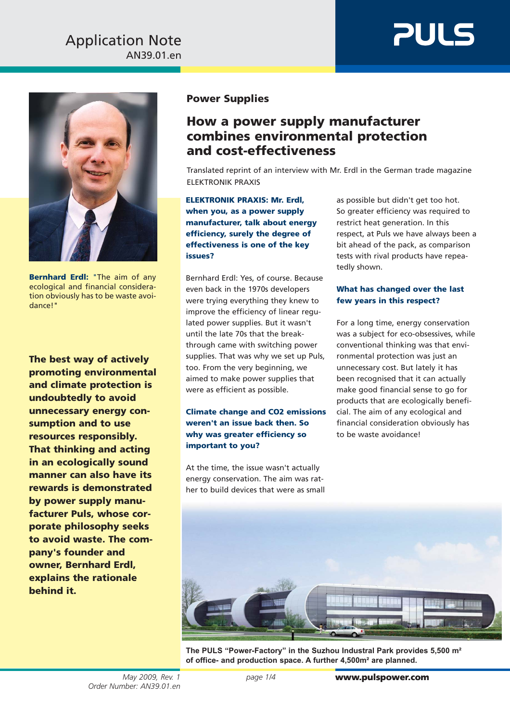### AN39.01.en Application Note





**Bernhard Erdl:** "The aim of any ecological and financial consideration obviously has to be waste avoidance!"

**The best way of actively promoting environmental and climate protection is undoubtedly to avoid unnecessary energy consumption and to use resources responsibly. That thinking and acting in an ecologically sound manner can also have its rewards is demonstrated by power supply manufacturer Puls, whose corporate philosophy seeks to avoid waste. The company's founder and owner, Bernhard Erdl, explains the rationale behind it.**

#### **Power Supplies**

### **How a power supply manufacturer combines environmental protection and cost-effectiveness**

Translated reprint of an interview with Mr. Erdl in the German trade magazine ELEKTRONIK PRAXIS

**ELEKTRONIK PRAXIS: Mr. Erdl, when you, as a power supply manufacturer, talk about energy efficiency, surely the degree of effectiveness is one of the key issues?**

Bernhard Erdl: Yes, of course. Because even back in the 1970s developers were trying everything they knew to improve the efficiency of linear regulated power supplies. But it wasn't until the late 70s that the breakthrough came with switching power supplies. That was why we set up Puls, too. From the very beginning, we aimed to make power supplies that were as efficient as possible.

#### **Climate change and CO2 emissions weren't an issue back then. So why was greater efficiency so important to you?**

At the time, the issue wasn't actually energy conservation. The aim was rather to build devices that were as small as possible but didn't get too hot. So greater efficiency was required to restrict heat generation. In this respect, at Puls we have always been a bit ahead of the pack, as comparison tests with rival products have repeatedly shown.

#### **What has changed over the last few years in this respect?**

For a long time, energy conservation was a subject for eco-obsessives, while conventional thinking was that environmental protection was just an unnecessary cost. But lately it has been recognised that it can actually make good financial sense to go for products that are ecologically beneficial. The aim of any ecological and financial consideration obviously has to be waste avoidance!



**The PULS "Power-Factory" in the Suzhou Industral Park provides 5,500 m² of office- and production space. A further 4,500m² are planned.**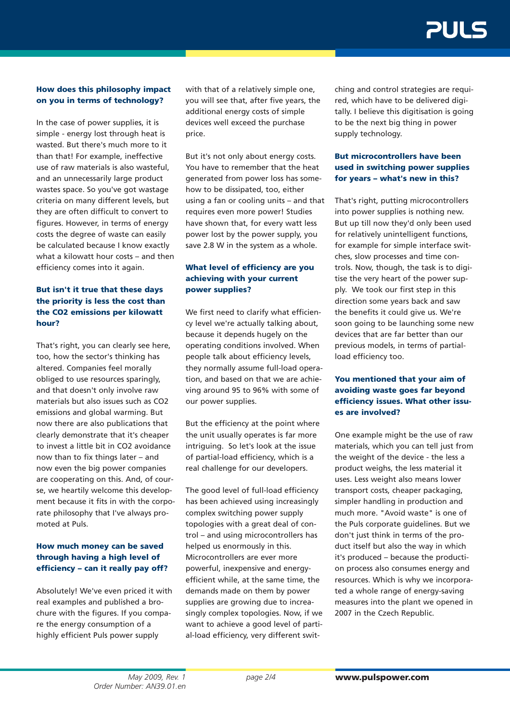## **PUL 4**

#### **How does this philosophy impact on you in terms of technology?**

In the case of power supplies, it is simple - energy lost through heat is wasted. But there's much more to it than that! For example, ineffective use of raw materials is also wasteful, and an unnecessarily large product wastes space. So you've got wastage criteria on many different levels, but they are often difficult to convert to figures. However, in terms of energy costs the degree of waste can easily be calculated because I know exactly what a kilowatt hour costs – and then efficiency comes into it again.

#### **But isn't it true that these days the priority is less the cost than the CO2 emissions per kilowatt hour?**

That's right, you can clearly see here, too, how the sector's thinking has altered. Companies feel morally obliged to use resources sparingly, and that doesn't only involve raw materials but also issues such as CO2 emissions and global warming. But now there are also publications that clearly demonstrate that it's cheaper to invest a little bit in CO2 avoidance now than to fix things later – and now even the big power companies are cooperating on this. And, of course, we heartily welcome this development because it fits in with the corporate philosophy that I've always promoted at Puls.

#### **How much money can be saved through having a high level of efficiency – can it really pay off?**

Absolutely! We've even priced it with real examples and published a brochure with the figures. If you compare the energy consumption of a highly efficient Puls power supply

with that of a relatively simple one, you will see that, after five years, the additional energy costs of simple devices well exceed the purchase price.

But it's not only about energy costs. You have to remember that the heat generated from power loss has somehow to be dissipated, too, either using a fan or cooling units – and that requires even more power! Studies have shown that, for every watt less power lost by the power supply, you save 2.8 W in the system as a whole.

#### **What level of efficiency are you achieving with your current power supplies?**

We first need to clarify what efficiency level we're actually talking about, because it depends hugely on the operating conditions involved. When people talk about efficiency levels, they normally assume full-load operation, and based on that we are achieving around 95 to 96% with some of our power supplies.

But the efficiency at the point where the unit usually operates is far more intriguing. So let's look at the issue of partial-load efficiency, which is a real challenge for our developers.

The good level of full-load efficiency has been achieved using increasingly complex switching power supply topologies with a great deal of control – and using microcontrollers has helped us enormously in this. Microcontrollers are ever more powerful, inexpensive and energyefficient while, at the same time, the demands made on them by power supplies are growing due to increasingly complex topologies. Now, if we want to achieve a good level of partial-load efficiency, very different switching and control strategies are required, which have to be delivered digitally. I believe this digitisation is going to be the next big thing in power supply technology.

#### **But microcontrollers have been used in switching power supplies for years – what's new in this?**

That's right, putting microcontrollers into power supplies is nothing new. But up till now they'd only been used for relatively unintelligent functions, for example for simple interface switches, slow processes and time controls. Now, though, the task is to digitise the very heart of the power supply. We took our first step in this direction some years back and saw the benefits it could give us. We're soon going to be launching some new devices that are far better than our previous models, in terms of partialload efficiency too.

#### **You mentioned that your aim of avoiding waste goes far beyond efficiency issues. What other issues are involved?**

One example might be the use of raw materials, which you can tell just from the weight of the device - the less a product weighs, the less material it uses. Less weight also means lower transport costs, cheaper packaging, simpler handling in production and much more. "Avoid waste" is one of the Puls corporate guidelines. But we don't just think in terms of the product itself but also the way in which it's produced – because the production process also consumes energy and resources. Which is why we incorporated a whole range of energy-saving measures into the plant we opened in 2007 in the Czech Republic.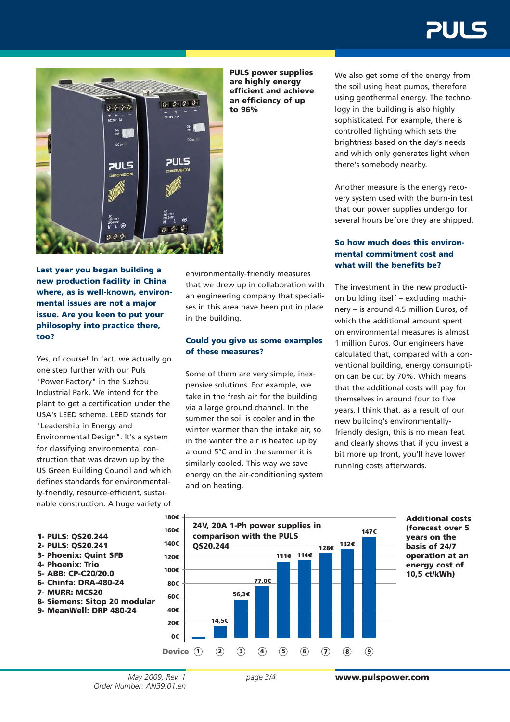# **PULS**



**PULS power supplies are highly energy efficient and achieve an efficiency of up to 96%**

**Last year you began building a new production facility in China where, as is well-known, environmental issues are not a major issue. Are you keen to put your philosophy into practice there, too?**

Yes, of course! In fact, we actually go one step further with our Puls "Power-Factory" in the Suzhou Industrial Park. We intend for the plant to get a certification under the USA's LEED scheme. LEED stands for "Leadership in Energy and Environmental Design". It's a system for classifying environmental construction that was drawn up by the US Green Building Council and which defines standards for environmentally-friendly, resource-efficient, sustainable construction. A huge variety of environmentally-friendly measures that we drew up in collaboration with an engineering company that specialises in this area have been put in place in the building.

#### **Could you give us some examples of these measures?**

Some of them are very simple, inexpensive solutions. For example, we take in the fresh air for the building via a large ground channel. In the summer the soil is cooler and in the winter warmer than the intake air, so in the winter the air is heated up by around 5°C and in the summer it is similarly cooled. This way we save energy on the air-conditioning system and on heating.

We also get some of the energy from the soil using heat pumps, therefore using geothermal energy. The technology in the building is also highly sophisticated. For example, there is controlled lighting which sets the brightness based on the day's needs and which only generates light when there's somebody nearby.

Another measure is the energy recovery system used with the burn-in test that our power supplies undergo for several hours before they are shipped.

#### **So how much does this environmental commitment cost and what will the benefits be?**

The investment in the new production building itself – excluding machinery – is around 4.5 million Euros, of which the additional amount spent on environmental measures is almost 1 million Euros. Our engineers have calculated that, compared with a conventional building, energy consumption can be cut by 70%. Which means that the additional costs will pay for themselves in around four to five years. I think that, as a result of our new building's environmentallyfriendly design, this is no mean feat and clearly shows that if you invest a bit more up front, you'll have lower running costs afterwards.





**Additional costs (forecast over 5 years on the basis of 24/7 operation at an energy cost of 10,5 ct/kWh)**